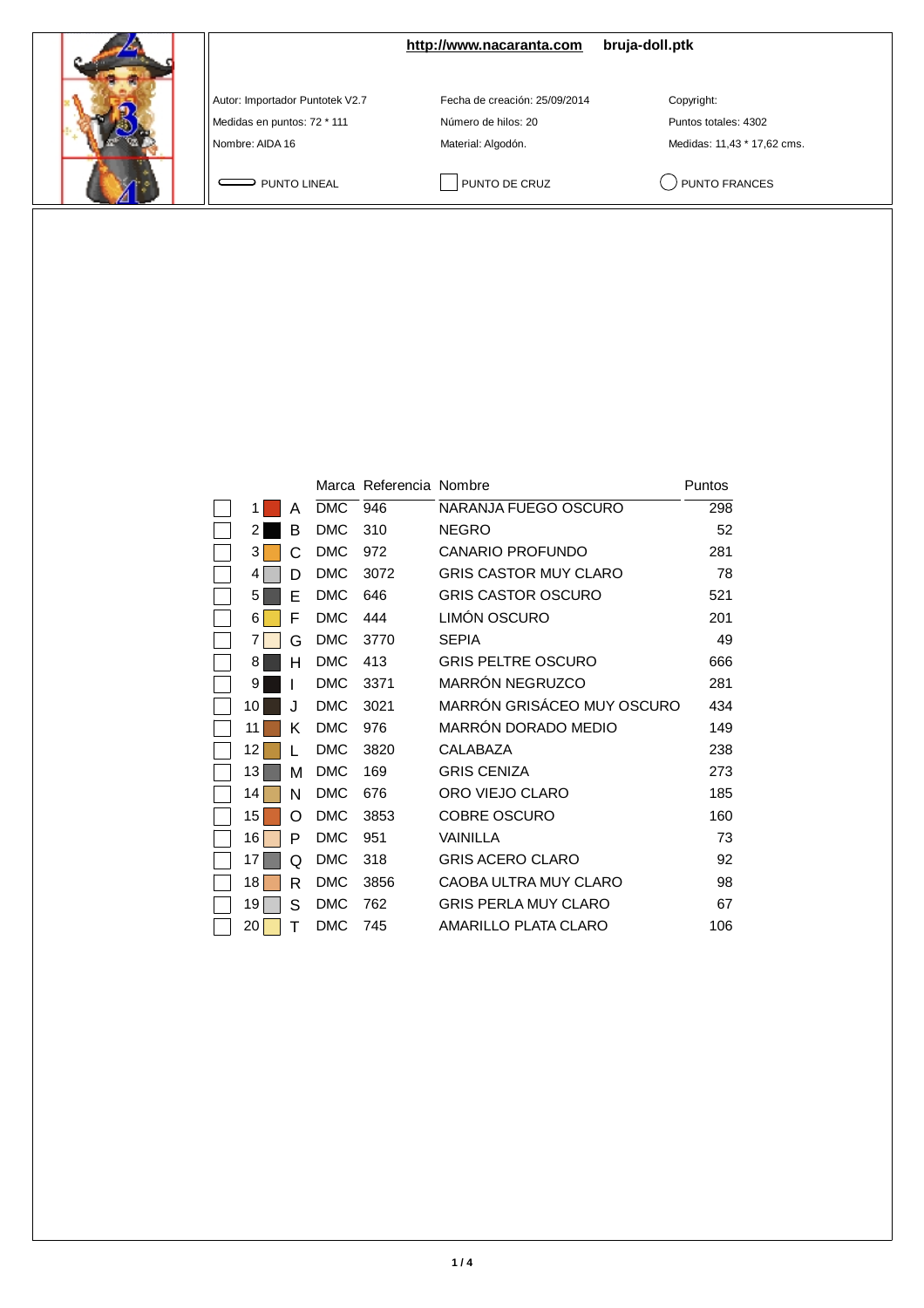|                                                                                   | http://www.nacaranta.com                                                   | bruja-doll.ptk                                                    |
|-----------------------------------------------------------------------------------|----------------------------------------------------------------------------|-------------------------------------------------------------------|
| Autor: Importador Puntotek V2.7<br>Medidas en puntos: 72 * 111<br>Nombre: AIDA 16 | Fecha de creación: 25/09/2014<br>Número de hilos: 20<br>Material: Algodón. | Copyright:<br>Puntos totales: 4302<br>Medidas: 11,43 * 17,62 cms. |
| PUNTO LINEAL                                                                      | PUNTO DE CRUZ                                                              | PUNTO FRANCES                                                     |

|    |    |            | Marca Referencia Nombre |                             | Puntos |
|----|----|------------|-------------------------|-----------------------------|--------|
| 1  | A  | <b>DMC</b> | 946                     | NARANJA FUEGO OSCURO        | 298    |
| 2  | В  | <b>DMC</b> | 310                     | <b>NEGRO</b>                | 52     |
| 3  | C. | <b>DMC</b> | 972                     | <b>CANARIO PROFUNDO</b>     | 281    |
| 4  | D  | <b>DMC</b> | 3072                    | GRIS CASTOR MUY CLARO       | 78     |
| 5  | E  | <b>DMC</b> | 646                     | <b>GRIS CASTOR OSCURO</b>   | 521    |
| 6  | F  | <b>DMC</b> | 444                     | LIMÓN OSCURO                | 201    |
| 7  | G  | <b>DMC</b> | 3770                    | <b>SEPIA</b>                | 49     |
| 8  | н  | <b>DMC</b> | 413                     | <b>GRIS PELTRE OSCURO</b>   | 666    |
| 9  |    | <b>DMC</b> | 3371                    | MARRÓN NEGRUZCO             | 281    |
| 10 | J. | <b>DMC</b> | 3021                    | MARRÓN GRISÁCEO MUY OSCURO  | 434    |
| 11 | Κ  | <b>DMC</b> | 976                     | MARRÓN DORADO MEDIO         | 149    |
| 12 |    | <b>DMC</b> | 3820                    | CALABAZA                    | 238    |
| 13 | M  | <b>DMC</b> | 169                     | <b>GRIS CENIZA</b>          | 273    |
| 14 | N  | <b>DMC</b> | 676                     | ORO VIEJO CLARO             | 185    |
| 15 | റ  | <b>DMC</b> | 3853                    | <b>COBRE OSCURO</b>         | 160    |
| 16 | P  | <b>DMC</b> | 951                     | <b>VAINILLA</b>             | 73     |
| 17 | Q  | <b>DMC</b> | 318                     | <b>GRIS ACERO CLARO</b>     | 92     |
| 18 | R  | <b>DMC</b> | 3856                    | CAOBA ULTRA MUY CLARO       | 98     |
| 19 | S  | <b>DMC</b> | 762                     | <b>GRIS PERLA MUY CLARO</b> | 67     |
| 20 | Т  | <b>DMC</b> | 745                     | AMARILLO PLATA CLARO        | 106    |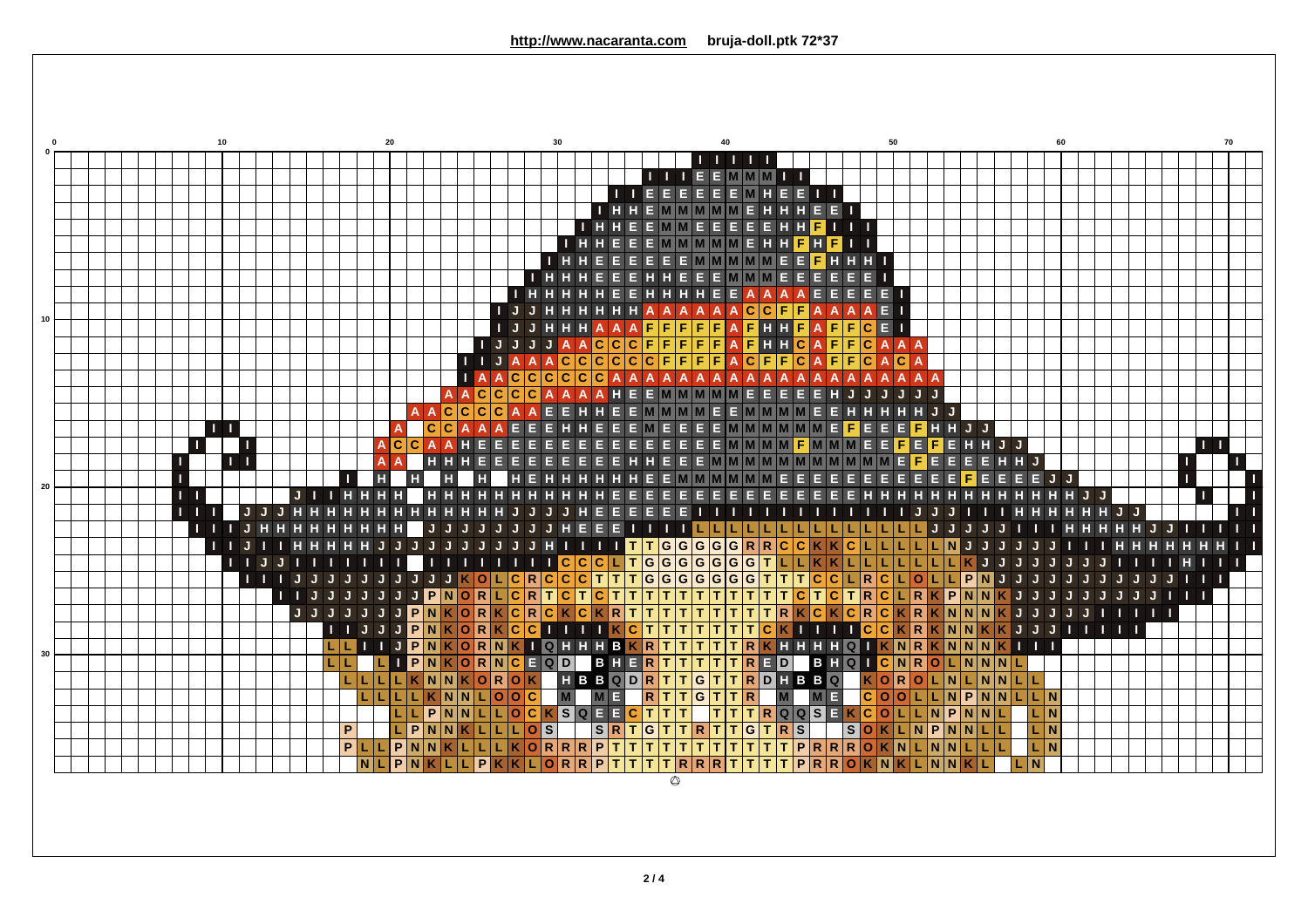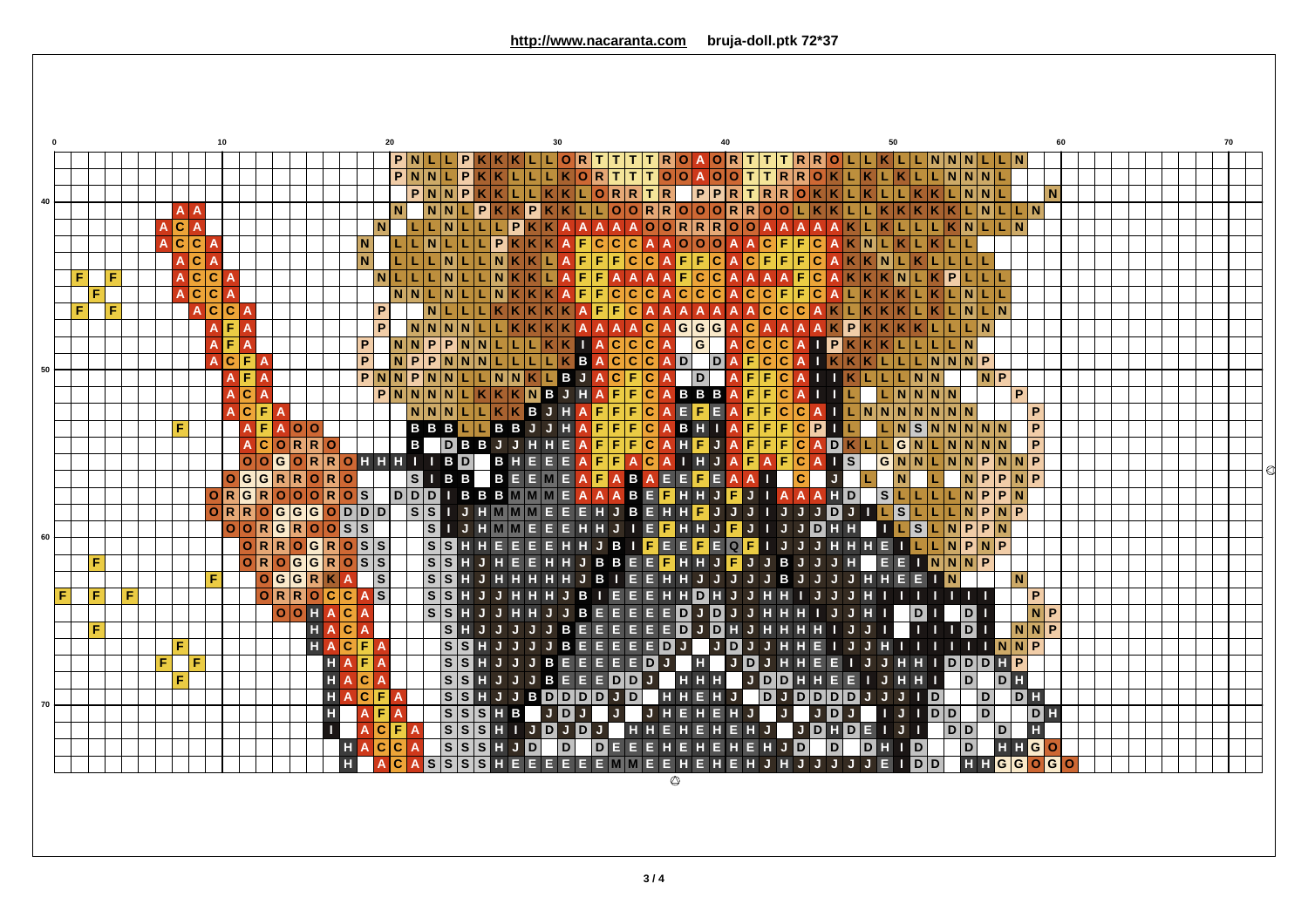| 20<br>60<br>P N L L<br>∣P.<br> T R O A O R T T T R R O L L K <br> K K K L L<br> O R T  <br>T<br>T<br>L N N N L L N<br>PNNLP<br>$K K L L L$<br>KORTTTOOAOOTTRROKLKLKLLNNNL<br>PNNP<br>PPRTRROKLKL<br>$K K L L K K L O R R T R $<br>LKKLNNL<br>M N<br>40<br>N<br>$K$ $K$ $P$<br>KKLLOORROOORROOL<br>NNL<br>l P.<br>$K$ $L$ $N$ $L$ $L$ $N$ $l$<br>A A<br>LLN<br> P<br>$\circ$<br>$\overline{\textsf{O}}$ R<br>R<br>IL.<br>$K\vert N\vert L\vert L\vert N\vert$<br>ACA<br>$\overline{O}$<br>l O<br>$\overline{P}$<br>F<br>$L$ $L$ $N$<br>$\mathbf c$<br>$\mathbf C$<br> c c<br>$\mathbf C$<br>$\mathbf{o}$<br><b>O</b><br>l O<br>N.<br>$\mathbf N$<br>F<br>ACA<br>١N<br>A<br>F<br>F<br>$\mathbf C$<br>$\mathbf C$<br>LILIL<br>IN.<br>LI LI<br>$K$ $K$<br>F<br>F<br>۱C<br>l C<br>LILIL<br>Æ<br>A C C<br>F<br>F<br>NLLLL<br>N<br>N<br>F<br>۱C<br>l C<br>P.<br>F<br>F<br>N<br>∣∆<br>A<br>NNLI<br>F<br>$\mathbf C$<br>l C<br>F<br>A <sub>c</sub><br>N<br>F<br>$\mathbf{C}$<br>$\mathbf{C}$<br>$\mathbf{C}$<br>١c<br>lc.<br>lc.<br>F<br>P<br>N.<br>F<br><b>ACCA</b><br>F<br>F<br>$\mathbf C$<br>LNLN<br>$\overline{P}$<br>$G$ $G$ $G$<br>F.<br>NNNN<br>$K$ $A$<br>$\mathbf{C}$<br>A C<br>P<br>$\Delta$<br>LLN<br>$\overline{A}$<br>$\overline{A}$<br> G <br><b>A E</b> A<br>KKIAC<br>$ {\tt c} {\tt c}$<br> c c c<br><b>IP</b><br>P<br>N N P P<br> N N<br> L L L<br>$\overline{A}$<br> K K <br>K L L L L N<br>$\blacksquare$ A<br>A<br>P<br>KBACCCA<br>DAFCC<br> L L L L<br>$N$ $P$ $P$ $N$ $N$<br> D <br>L L N N N P<br><b>ACFA</b><br><b>A</b><br>50<br>PNNPNNLLNNKLBJACFCA<br><b>NP</b><br><b>AF</b> A<br>DA<br>FF.<br>$L \mid N \mid N$<br>l C<br>LKKKNBJHAF<br>$\overline{\mathbf{c}}$<br>PNNNN<br>F<br>BBBAFFC<br>P<br>A C A<br>$\boxed{N \mid N \mid N \mid N}$<br>$\overline{A}$<br>EF<br>LLKKBJHAFFF<br>$\overline{\mathsf{c}}$<br>NNN<br>EA<br>FFC<br>ACF<br>$L \mid N \mid N \mid N \mid N \mid N \mid N$<br>l C<br>A<br>P<br>$\mathbf{A}$<br>$\overline{A}$<br>BBJJHAF<br>$\overline{F}$<br>$\overline{\mathsf{c}}$<br>$F$ $F$ $F$<br>AFAOO<br>$\mathsf F$<br>BHI<br><b>BBBLL</b><br>$\vert N \vert S \vert N \vert N \vert N \vert N \vert N$<br>$\mathsf{P}$<br> C P<br>F<br>$\overline{A}$<br>HFJAFFFCADKL<br>HEAD<br><b>B</b> DBBJJ<br>$\overline{\mathsf{F}}$<br>$ \mathfrak{c} $<br>H<br>F<br>$N$ $N$ $N$<br>$\mathsf{P}$<br>ACORRO<br> L G N <br>N<br>$\overline{A}$<br>OHHHIIBD<br>BHE<br>JAFAFCAI<br>F<br> c<br>ls l<br> O O G <br>$\overline{A}$<br>I H<br> G N N L <br>P<br>$N$ $N$<br>P<br> O R <br>R<br>$N$ $N$<br>$\mathsf{A}$<br><b>SIBB BEEME</b><br>DDDIBBBMMME<br>$\overline{F}$<br>BAEE<br>$P$ N $P$<br>$G$ GGRRORO<br>$\mathbf{A}$<br>EAA<br>N<br> P <br>$ {\bf c} $<br>$\overline{A}$<br>m<br>$\mathbf{O}$<br>BEF<br>QRGROQRQR<br>A A<br>$S L L L L L R P P N$<br>$\overline{A}$<br>H<br><b>F</b> JIAAA<br>H<br> D <br>н<br>E<br>$\overline{\vert s \vert s}$<br>$O$ RROGGGODDD<br>BEH<br>$L$ s<br>IJHMMM<br>E<br>g.<br>н<br>JJDJI<br>LINPNP<br>$\mathsf{J}$<br>н<br>ΙF<br>$\mathsf{J}$<br>$\overline{\mathsf{J}}$<br>$\bullet$<br>H<br> s <br>E H.<br><b>JDHH</b><br> O O R G R O O S S <br>    J<br>EF<br>Ø<br>I∟IsI<br>HMM<br>H<br><b>FI</b> J<br>$L\vert N\vert P\vert P\vert N$<br>н<br>П<br>60<br>$O$ $R$ $R$ $O$ $G$ $R$ $O$ $S$ $S$<br>$E$ $E$ $E$ $E$<br>ILLNPNP<br> s s <br><b>EQFI</b><br>E<br>B<br>IJ<br>HHE<br>E<br>E<br>Е<br>H<br>IJ<br>н.<br>I H<br>IJ<br>OROGGROS<br>$S$ $S$ $H$<br>BEEF<br>EINNNP<br>F<br><b>H</b><br>E<br>E<br>н<br>H<br>B<br>H H<br>- IE I<br>JFJ<br>IJ<br>B J<br><b>H</b><br>$\overline{\vert s \vert s}$<br>$G$ G $G$ R $K$ A<br> s <br>  <b>H</b> J<br>HH<br>$\bullet$<br><b>JHHEE</b><br>IN<br>N.<br>l F<br>H<br>H<br>EI<br>н<br>н<br>H<br>O C C A S<br>$O$ R R<br> s s<br>$\, {\bf P}$<br>F<br>F<br>l F.<br>D<br>B<br>1 T T<br>OOHAC<br><b>NP</b><br> s s<br>D<br>H<br>$E$ D<br>JDJ<br> D <br>$\boldsymbol{\Phi}$<br>Е<br>JH<br>в<br>E<br>$\mathsf{J}$<br>$\Box$ D<br>HACA<br> S H<br>$E$ <sub>D</sub><br>$\overline{D}$ H<br><b>NNP</b><br>BEE<br>Е<br>F<br>$\mathbf{J}$<br>J.<br>Е<br>EI<br>J<br>JJIIII<br>HACF<br>$\overline{\vert s \vert s}$<br>E.<br>EDJ<br><b>TINNP</b><br>B<br>Е<br>Е<br>E<br>F<br>$\mathbf{A}$<br>н.<br>$\bullet$<br>IJ<br>J.<br>D.<br>$\blacksquare$<br>$\overline{\vert s \vert s}$<br>E<br>IDDDHP<br><b>HAH</b><br>E<br>HJ<br>$\bullet$<br>$E$ <sub>D</sub><br>l F.<br>B<br>Е<br>F<br>$\bf \Phi$<br>Е<br>H<br>A<br>H<br>l D<br>$\overline{\mathsf{D}}$<br>$D$ $\mathbf{H}$<br>H<br>AC<br> s s<br>$\, {\bf B}$<br>F.<br>Е<br>Е<br>D<br>D<br>н<br>$\mathsf{J}$<br>Е<br>IJ<br>н<br>D<br>A<br>D<br><b>BDDDDJD</b><br>DH<br>HACF<br> s s<br>н<br>$J$ $D$ $D$ $D$ $D$ $D$<br><b>HID</b><br>A<br>$\bullet$<br>$\mathsf{J}$<br>D<br> D <br>JJ.<br>70<br>$\overline{D}$<br> s s<br>DH<br>$ S $ H $ B $<br>D<br>H<br>AF<br>- J<br>D<br>$\mathbf{A}$<br>J.<br>l D<br>$\overline{\vert s \vert s}$<br>$\mathbf{L}$<br>F<br>$\overline{\mathsf{s}}$<br>JDHDEIJ<br>$\overline{D}$<br>H<br>$\mathbf{C}$<br>HIJD<br>$J$ D<br> D D <br>  H H<br>J.<br>HJI<br>A<br>$S$ $S$ $S$ $H$ $J$ $D$<br>$\overline{\mathsf{P}}$<br>$\overline{c}$<br> D <br>$\overline{D}$<br>HJD<br>$\vert$ D $\vert$<br>DHID<br>HHGO<br>HAC<br>E E <br>EH<br>H<br>A<br>EE<br>E E E MM E E H E H E H J H J J J J J E<br><b>HHGGOG</b><br>H<br>$\vert$ S<br>$\mathbf{s}$<br>H<br>E<br>$\blacksquare$ |  |  |  |    |  |  |  |  |                         |              |   |  |  |  |  |  |  |  |  |  |  |  |  |  |  |  |  |  |                |  |  |  |  |    |
|-------------------------------------------------------------------------------------------------------------------------------------------------------------------------------------------------------------------------------------------------------------------------------------------------------------------------------------------------------------------------------------------------------------------------------------------------------------------------------------------------------------------------------------------------------------------------------------------------------------------------------------------------------------------------------------------------------------------------------------------------------------------------------------------------------------------------------------------------------------------------------------------------------------------------------------------------------------------------------------------------------------------------------------------------------------------------------------------------------------------------------------------------------------------------------------------------------------------------------------------------------------------------------------------------------------------------------------------------------------------------------------------------------------------------------------------------------------------------------------------------------------------------------------------------------------------------------------------------------------------------------------------------------------------------------------------------------------------------------------------------------------------------------------------------------------------------------------------------------------------------------------------------------------------------------------------------------------------------------------------------------------------------------------------------------------------------------------------------------------------------------------------------------------------------------------------------------------------------------------------------------------------------------------------------------------------------------------------------------------------------------------------------------------------------------------------------------------------------------------------------------------------------------------------------------------------------------------------------------------------------------------------------------------------------------------------------------------------------------------------------------------------------------------------------------------------------------------------------------------------------------------------------------------------------------------------------------------------------------------------------------------------------------------------------------------------------------------------------------------------------------------------------------------------------------------------------------------------------------------------------------------------------------------------------------------------------------------------------------------------------------------------------------------------------------------------------------------------------------------------------------------------------------------------------------------------------------------------------------------------------------------------------------------------------------------------------------------------------------------------------------------------------------------------------------------------------------------------------------------------------------------------------------------------------------------------------------------------------------------------------------------------------------------------------------------------------------------------------------------------------------------------------------------------------------------------------------------------------------------------------------------------------------------------------------------------------------------------------------------------------------------------------------------------------------------------------------------------------------------------------------------------------------------------------------------------------------------------------------------------------------------------------------------------------------------------------------------------------------------------------------------------------------------------------------------------------------------------------------------------------------------------------------------------------------------------------------------------------------------------------------------------------------------------------------------------------------------------------------------------------------------------------------------------------------------------------------------------------------------------------------------------------------------------------------------------------------------------------------|--|--|--|----|--|--|--|--|-------------------------|--------------|---|--|--|--|--|--|--|--|--|--|--|--|--|--|--|--|--|--|----------------|--|--|--|--|----|
|                                                                                                                                                                                                                                                                                                                                                                                                                                                                                                                                                                                                                                                                                                                                                                                                                                                                                                                                                                                                                                                                                                                                                                                                                                                                                                                                                                                                                                                                                                                                                                                                                                                                                                                                                                                                                                                                                                                                                                                                                                                                                                                                                                                                                                                                                                                                                                                                                                                                                                                                                                                                                                                                                                                                                                                                                                                                                                                                                                                                                                                                                                                                                                                                                                                                                                                                                                                                                                                                                                                                                                                                                                                                                                                                                                                                                                                                                                                                                                                                                                                                                                                                                                                                                                                                                                                                                                                                                                                                                                                                                                                                                                                                                                                                                                                                                                                                                                                                                                                                                                                                                                                                                                                                                                                                                                                                                       |  |  |  | 10 |  |  |  |  |                         |              |   |  |  |  |  |  |  |  |  |  |  |  |  |  |  |  |  |  |                |  |  |  |  | 70 |
|                                                                                                                                                                                                                                                                                                                                                                                                                                                                                                                                                                                                                                                                                                                                                                                                                                                                                                                                                                                                                                                                                                                                                                                                                                                                                                                                                                                                                                                                                                                                                                                                                                                                                                                                                                                                                                                                                                                                                                                                                                                                                                                                                                                                                                                                                                                                                                                                                                                                                                                                                                                                                                                                                                                                                                                                                                                                                                                                                                                                                                                                                                                                                                                                                                                                                                                                                                                                                                                                                                                                                                                                                                                                                                                                                                                                                                                                                                                                                                                                                                                                                                                                                                                                                                                                                                                                                                                                                                                                                                                                                                                                                                                                                                                                                                                                                                                                                                                                                                                                                                                                                                                                                                                                                                                                                                                                                       |  |  |  |    |  |  |  |  |                         |              |   |  |  |  |  |  |  |  |  |  |  |  |  |  |  |  |  |  |                |  |  |  |  |    |
|                                                                                                                                                                                                                                                                                                                                                                                                                                                                                                                                                                                                                                                                                                                                                                                                                                                                                                                                                                                                                                                                                                                                                                                                                                                                                                                                                                                                                                                                                                                                                                                                                                                                                                                                                                                                                                                                                                                                                                                                                                                                                                                                                                                                                                                                                                                                                                                                                                                                                                                                                                                                                                                                                                                                                                                                                                                                                                                                                                                                                                                                                                                                                                                                                                                                                                                                                                                                                                                                                                                                                                                                                                                                                                                                                                                                                                                                                                                                                                                                                                                                                                                                                                                                                                                                                                                                                                                                                                                                                                                                                                                                                                                                                                                                                                                                                                                                                                                                                                                                                                                                                                                                                                                                                                                                                                                                                       |  |  |  |    |  |  |  |  |                         |              |   |  |  |  |  |  |  |  |  |  |  |  |  |  |  |  |  |  |                |  |  |  |  |    |
|                                                                                                                                                                                                                                                                                                                                                                                                                                                                                                                                                                                                                                                                                                                                                                                                                                                                                                                                                                                                                                                                                                                                                                                                                                                                                                                                                                                                                                                                                                                                                                                                                                                                                                                                                                                                                                                                                                                                                                                                                                                                                                                                                                                                                                                                                                                                                                                                                                                                                                                                                                                                                                                                                                                                                                                                                                                                                                                                                                                                                                                                                                                                                                                                                                                                                                                                                                                                                                                                                                                                                                                                                                                                                                                                                                                                                                                                                                                                                                                                                                                                                                                                                                                                                                                                                                                                                                                                                                                                                                                                                                                                                                                                                                                                                                                                                                                                                                                                                                                                                                                                                                                                                                                                                                                                                                                                                       |  |  |  |    |  |  |  |  |                         |              |   |  |  |  |  |  |  |  |  |  |  |  |  |  |  |  |  |  |                |  |  |  |  |    |
|                                                                                                                                                                                                                                                                                                                                                                                                                                                                                                                                                                                                                                                                                                                                                                                                                                                                                                                                                                                                                                                                                                                                                                                                                                                                                                                                                                                                                                                                                                                                                                                                                                                                                                                                                                                                                                                                                                                                                                                                                                                                                                                                                                                                                                                                                                                                                                                                                                                                                                                                                                                                                                                                                                                                                                                                                                                                                                                                                                                                                                                                                                                                                                                                                                                                                                                                                                                                                                                                                                                                                                                                                                                                                                                                                                                                                                                                                                                                                                                                                                                                                                                                                                                                                                                                                                                                                                                                                                                                                                                                                                                                                                                                                                                                                                                                                                                                                                                                                                                                                                                                                                                                                                                                                                                                                                                                                       |  |  |  |    |  |  |  |  |                         |              |   |  |  |  |  |  |  |  |  |  |  |  |  |  |  |  |  |  |                |  |  |  |  |    |
|                                                                                                                                                                                                                                                                                                                                                                                                                                                                                                                                                                                                                                                                                                                                                                                                                                                                                                                                                                                                                                                                                                                                                                                                                                                                                                                                                                                                                                                                                                                                                                                                                                                                                                                                                                                                                                                                                                                                                                                                                                                                                                                                                                                                                                                                                                                                                                                                                                                                                                                                                                                                                                                                                                                                                                                                                                                                                                                                                                                                                                                                                                                                                                                                                                                                                                                                                                                                                                                                                                                                                                                                                                                                                                                                                                                                                                                                                                                                                                                                                                                                                                                                                                                                                                                                                                                                                                                                                                                                                                                                                                                                                                                                                                                                                                                                                                                                                                                                                                                                                                                                                                                                                                                                                                                                                                                                                       |  |  |  |    |  |  |  |  |                         |              |   |  |  |  |  |  |  |  |  |  |  |  |  |  |  |  |  |  |                |  |  |  |  |    |
|                                                                                                                                                                                                                                                                                                                                                                                                                                                                                                                                                                                                                                                                                                                                                                                                                                                                                                                                                                                                                                                                                                                                                                                                                                                                                                                                                                                                                                                                                                                                                                                                                                                                                                                                                                                                                                                                                                                                                                                                                                                                                                                                                                                                                                                                                                                                                                                                                                                                                                                                                                                                                                                                                                                                                                                                                                                                                                                                                                                                                                                                                                                                                                                                                                                                                                                                                                                                                                                                                                                                                                                                                                                                                                                                                                                                                                                                                                                                                                                                                                                                                                                                                                                                                                                                                                                                                                                                                                                                                                                                                                                                                                                                                                                                                                                                                                                                                                                                                                                                                                                                                                                                                                                                                                                                                                                                                       |  |  |  |    |  |  |  |  |                         |              |   |  |  |  |  |  |  |  |  |  |  |  |  |  |  |  |  |  |                |  |  |  |  |    |
|                                                                                                                                                                                                                                                                                                                                                                                                                                                                                                                                                                                                                                                                                                                                                                                                                                                                                                                                                                                                                                                                                                                                                                                                                                                                                                                                                                                                                                                                                                                                                                                                                                                                                                                                                                                                                                                                                                                                                                                                                                                                                                                                                                                                                                                                                                                                                                                                                                                                                                                                                                                                                                                                                                                                                                                                                                                                                                                                                                                                                                                                                                                                                                                                                                                                                                                                                                                                                                                                                                                                                                                                                                                                                                                                                                                                                                                                                                                                                                                                                                                                                                                                                                                                                                                                                                                                                                                                                                                                                                                                                                                                                                                                                                                                                                                                                                                                                                                                                                                                                                                                                                                                                                                                                                                                                                                                                       |  |  |  |    |  |  |  |  |                         |              |   |  |  |  |  |  |  |  |  |  |  |  |  |  |  |  |  |  |                |  |  |  |  |    |
|                                                                                                                                                                                                                                                                                                                                                                                                                                                                                                                                                                                                                                                                                                                                                                                                                                                                                                                                                                                                                                                                                                                                                                                                                                                                                                                                                                                                                                                                                                                                                                                                                                                                                                                                                                                                                                                                                                                                                                                                                                                                                                                                                                                                                                                                                                                                                                                                                                                                                                                                                                                                                                                                                                                                                                                                                                                                                                                                                                                                                                                                                                                                                                                                                                                                                                                                                                                                                                                                                                                                                                                                                                                                                                                                                                                                                                                                                                                                                                                                                                                                                                                                                                                                                                                                                                                                                                                                                                                                                                                                                                                                                                                                                                                                                                                                                                                                                                                                                                                                                                                                                                                                                                                                                                                                                                                                                       |  |  |  |    |  |  |  |  |                         |              |   |  |  |  |  |  |  |  |  |  |  |  |  |  |  |  |  |  |                |  |  |  |  |    |
|                                                                                                                                                                                                                                                                                                                                                                                                                                                                                                                                                                                                                                                                                                                                                                                                                                                                                                                                                                                                                                                                                                                                                                                                                                                                                                                                                                                                                                                                                                                                                                                                                                                                                                                                                                                                                                                                                                                                                                                                                                                                                                                                                                                                                                                                                                                                                                                                                                                                                                                                                                                                                                                                                                                                                                                                                                                                                                                                                                                                                                                                                                                                                                                                                                                                                                                                                                                                                                                                                                                                                                                                                                                                                                                                                                                                                                                                                                                                                                                                                                                                                                                                                                                                                                                                                                                                                                                                                                                                                                                                                                                                                                                                                                                                                                                                                                                                                                                                                                                                                                                                                                                                                                                                                                                                                                                                                       |  |  |  |    |  |  |  |  |                         |              |   |  |  |  |  |  |  |  |  |  |  |  |  |  |  |  |  |  |                |  |  |  |  |    |
|                                                                                                                                                                                                                                                                                                                                                                                                                                                                                                                                                                                                                                                                                                                                                                                                                                                                                                                                                                                                                                                                                                                                                                                                                                                                                                                                                                                                                                                                                                                                                                                                                                                                                                                                                                                                                                                                                                                                                                                                                                                                                                                                                                                                                                                                                                                                                                                                                                                                                                                                                                                                                                                                                                                                                                                                                                                                                                                                                                                                                                                                                                                                                                                                                                                                                                                                                                                                                                                                                                                                                                                                                                                                                                                                                                                                                                                                                                                                                                                                                                                                                                                                                                                                                                                                                                                                                                                                                                                                                                                                                                                                                                                                                                                                                                                                                                                                                                                                                                                                                                                                                                                                                                                                                                                                                                                                                       |  |  |  |    |  |  |  |  |                         |              |   |  |  |  |  |  |  |  |  |  |  |  |  |  |  |  |  |  |                |  |  |  |  |    |
|                                                                                                                                                                                                                                                                                                                                                                                                                                                                                                                                                                                                                                                                                                                                                                                                                                                                                                                                                                                                                                                                                                                                                                                                                                                                                                                                                                                                                                                                                                                                                                                                                                                                                                                                                                                                                                                                                                                                                                                                                                                                                                                                                                                                                                                                                                                                                                                                                                                                                                                                                                                                                                                                                                                                                                                                                                                                                                                                                                                                                                                                                                                                                                                                                                                                                                                                                                                                                                                                                                                                                                                                                                                                                                                                                                                                                                                                                                                                                                                                                                                                                                                                                                                                                                                                                                                                                                                                                                                                                                                                                                                                                                                                                                                                                                                                                                                                                                                                                                                                                                                                                                                                                                                                                                                                                                                                                       |  |  |  |    |  |  |  |  |                         |              |   |  |  |  |  |  |  |  |  |  |  |  |  |  |  |  |  |  |                |  |  |  |  |    |
|                                                                                                                                                                                                                                                                                                                                                                                                                                                                                                                                                                                                                                                                                                                                                                                                                                                                                                                                                                                                                                                                                                                                                                                                                                                                                                                                                                                                                                                                                                                                                                                                                                                                                                                                                                                                                                                                                                                                                                                                                                                                                                                                                                                                                                                                                                                                                                                                                                                                                                                                                                                                                                                                                                                                                                                                                                                                                                                                                                                                                                                                                                                                                                                                                                                                                                                                                                                                                                                                                                                                                                                                                                                                                                                                                                                                                                                                                                                                                                                                                                                                                                                                                                                                                                                                                                                                                                                                                                                                                                                                                                                                                                                                                                                                                                                                                                                                                                                                                                                                                                                                                                                                                                                                                                                                                                                                                       |  |  |  |    |  |  |  |  |                         |              |   |  |  |  |  |  |  |  |  |  |  |  |  |  |  |  |  |  |                |  |  |  |  |    |
|                                                                                                                                                                                                                                                                                                                                                                                                                                                                                                                                                                                                                                                                                                                                                                                                                                                                                                                                                                                                                                                                                                                                                                                                                                                                                                                                                                                                                                                                                                                                                                                                                                                                                                                                                                                                                                                                                                                                                                                                                                                                                                                                                                                                                                                                                                                                                                                                                                                                                                                                                                                                                                                                                                                                                                                                                                                                                                                                                                                                                                                                                                                                                                                                                                                                                                                                                                                                                                                                                                                                                                                                                                                                                                                                                                                                                                                                                                                                                                                                                                                                                                                                                                                                                                                                                                                                                                                                                                                                                                                                                                                                                                                                                                                                                                                                                                                                                                                                                                                                                                                                                                                                                                                                                                                                                                                                                       |  |  |  |    |  |  |  |  |                         |              |   |  |  |  |  |  |  |  |  |  |  |  |  |  |  |  |  |  |                |  |  |  |  |    |
|                                                                                                                                                                                                                                                                                                                                                                                                                                                                                                                                                                                                                                                                                                                                                                                                                                                                                                                                                                                                                                                                                                                                                                                                                                                                                                                                                                                                                                                                                                                                                                                                                                                                                                                                                                                                                                                                                                                                                                                                                                                                                                                                                                                                                                                                                                                                                                                                                                                                                                                                                                                                                                                                                                                                                                                                                                                                                                                                                                                                                                                                                                                                                                                                                                                                                                                                                                                                                                                                                                                                                                                                                                                                                                                                                                                                                                                                                                                                                                                                                                                                                                                                                                                                                                                                                                                                                                                                                                                                                                                                                                                                                                                                                                                                                                                                                                                                                                                                                                                                                                                                                                                                                                                                                                                                                                                                                       |  |  |  |    |  |  |  |  |                         |              |   |  |  |  |  |  |  |  |  |  |  |  |  |  |  |  |  |  |                |  |  |  |  |    |
|                                                                                                                                                                                                                                                                                                                                                                                                                                                                                                                                                                                                                                                                                                                                                                                                                                                                                                                                                                                                                                                                                                                                                                                                                                                                                                                                                                                                                                                                                                                                                                                                                                                                                                                                                                                                                                                                                                                                                                                                                                                                                                                                                                                                                                                                                                                                                                                                                                                                                                                                                                                                                                                                                                                                                                                                                                                                                                                                                                                                                                                                                                                                                                                                                                                                                                                                                                                                                                                                                                                                                                                                                                                                                                                                                                                                                                                                                                                                                                                                                                                                                                                                                                                                                                                                                                                                                                                                                                                                                                                                                                                                                                                                                                                                                                                                                                                                                                                                                                                                                                                                                                                                                                                                                                                                                                                                                       |  |  |  |    |  |  |  |  |                         |              |   |  |  |  |  |  |  |  |  |  |  |  |  |  |  |  |  |  |                |  |  |  |  |    |
|                                                                                                                                                                                                                                                                                                                                                                                                                                                                                                                                                                                                                                                                                                                                                                                                                                                                                                                                                                                                                                                                                                                                                                                                                                                                                                                                                                                                                                                                                                                                                                                                                                                                                                                                                                                                                                                                                                                                                                                                                                                                                                                                                                                                                                                                                                                                                                                                                                                                                                                                                                                                                                                                                                                                                                                                                                                                                                                                                                                                                                                                                                                                                                                                                                                                                                                                                                                                                                                                                                                                                                                                                                                                                                                                                                                                                                                                                                                                                                                                                                                                                                                                                                                                                                                                                                                                                                                                                                                                                                                                                                                                                                                                                                                                                                                                                                                                                                                                                                                                                                                                                                                                                                                                                                                                                                                                                       |  |  |  |    |  |  |  |  |                         |              |   |  |  |  |  |  |  |  |  |  |  |  |  |  |  |  |  |  |                |  |  |  |  |    |
|                                                                                                                                                                                                                                                                                                                                                                                                                                                                                                                                                                                                                                                                                                                                                                                                                                                                                                                                                                                                                                                                                                                                                                                                                                                                                                                                                                                                                                                                                                                                                                                                                                                                                                                                                                                                                                                                                                                                                                                                                                                                                                                                                                                                                                                                                                                                                                                                                                                                                                                                                                                                                                                                                                                                                                                                                                                                                                                                                                                                                                                                                                                                                                                                                                                                                                                                                                                                                                                                                                                                                                                                                                                                                                                                                                                                                                                                                                                                                                                                                                                                                                                                                                                                                                                                                                                                                                                                                                                                                                                                                                                                                                                                                                                                                                                                                                                                                                                                                                                                                                                                                                                                                                                                                                                                                                                                                       |  |  |  |    |  |  |  |  |                         |              |   |  |  |  |  |  |  |  |  |  |  |  |  |  |  |  |  |  |                |  |  |  |  |    |
|                                                                                                                                                                                                                                                                                                                                                                                                                                                                                                                                                                                                                                                                                                                                                                                                                                                                                                                                                                                                                                                                                                                                                                                                                                                                                                                                                                                                                                                                                                                                                                                                                                                                                                                                                                                                                                                                                                                                                                                                                                                                                                                                                                                                                                                                                                                                                                                                                                                                                                                                                                                                                                                                                                                                                                                                                                                                                                                                                                                                                                                                                                                                                                                                                                                                                                                                                                                                                                                                                                                                                                                                                                                                                                                                                                                                                                                                                                                                                                                                                                                                                                                                                                                                                                                                                                                                                                                                                                                                                                                                                                                                                                                                                                                                                                                                                                                                                                                                                                                                                                                                                                                                                                                                                                                                                                                                                       |  |  |  |    |  |  |  |  |                         |              |   |  |  |  |  |  |  |  |  |  |  |  |  |  |  |  |  |  |                |  |  |  |  |    |
|                                                                                                                                                                                                                                                                                                                                                                                                                                                                                                                                                                                                                                                                                                                                                                                                                                                                                                                                                                                                                                                                                                                                                                                                                                                                                                                                                                                                                                                                                                                                                                                                                                                                                                                                                                                                                                                                                                                                                                                                                                                                                                                                                                                                                                                                                                                                                                                                                                                                                                                                                                                                                                                                                                                                                                                                                                                                                                                                                                                                                                                                                                                                                                                                                                                                                                                                                                                                                                                                                                                                                                                                                                                                                                                                                                                                                                                                                                                                                                                                                                                                                                                                                                                                                                                                                                                                                                                                                                                                                                                                                                                                                                                                                                                                                                                                                                                                                                                                                                                                                                                                                                                                                                                                                                                                                                                                                       |  |  |  |    |  |  |  |  |                         |              |   |  |  |  |  |  |  |  |  |  |  |  |  |  |  |  |  |  |                |  |  |  |  |    |
|                                                                                                                                                                                                                                                                                                                                                                                                                                                                                                                                                                                                                                                                                                                                                                                                                                                                                                                                                                                                                                                                                                                                                                                                                                                                                                                                                                                                                                                                                                                                                                                                                                                                                                                                                                                                                                                                                                                                                                                                                                                                                                                                                                                                                                                                                                                                                                                                                                                                                                                                                                                                                                                                                                                                                                                                                                                                                                                                                                                                                                                                                                                                                                                                                                                                                                                                                                                                                                                                                                                                                                                                                                                                                                                                                                                                                                                                                                                                                                                                                                                                                                                                                                                                                                                                                                                                                                                                                                                                                                                                                                                                                                                                                                                                                                                                                                                                                                                                                                                                                                                                                                                                                                                                                                                                                                                                                       |  |  |  |    |  |  |  |  |                         |              |   |  |  |  |  |  |  |  |  |  |  |  |  |  |  |  |  |  |                |  |  |  |  |    |
|                                                                                                                                                                                                                                                                                                                                                                                                                                                                                                                                                                                                                                                                                                                                                                                                                                                                                                                                                                                                                                                                                                                                                                                                                                                                                                                                                                                                                                                                                                                                                                                                                                                                                                                                                                                                                                                                                                                                                                                                                                                                                                                                                                                                                                                                                                                                                                                                                                                                                                                                                                                                                                                                                                                                                                                                                                                                                                                                                                                                                                                                                                                                                                                                                                                                                                                                                                                                                                                                                                                                                                                                                                                                                                                                                                                                                                                                                                                                                                                                                                                                                                                                                                                                                                                                                                                                                                                                                                                                                                                                                                                                                                                                                                                                                                                                                                                                                                                                                                                                                                                                                                                                                                                                                                                                                                                                                       |  |  |  |    |  |  |  |  |                         |              |   |  |  |  |  |  |  |  |  |  |  |  |  |  |  |  |  |  |                |  |  |  |  |    |
|                                                                                                                                                                                                                                                                                                                                                                                                                                                                                                                                                                                                                                                                                                                                                                                                                                                                                                                                                                                                                                                                                                                                                                                                                                                                                                                                                                                                                                                                                                                                                                                                                                                                                                                                                                                                                                                                                                                                                                                                                                                                                                                                                                                                                                                                                                                                                                                                                                                                                                                                                                                                                                                                                                                                                                                                                                                                                                                                                                                                                                                                                                                                                                                                                                                                                                                                                                                                                                                                                                                                                                                                                                                                                                                                                                                                                                                                                                                                                                                                                                                                                                                                                                                                                                                                                                                                                                                                                                                                                                                                                                                                                                                                                                                                                                                                                                                                                                                                                                                                                                                                                                                                                                                                                                                                                                                                                       |  |  |  |    |  |  |  |  |                         |              |   |  |  |  |  |  |  |  |  |  |  |  |  |  |  |  |  |  |                |  |  |  |  |    |
|                                                                                                                                                                                                                                                                                                                                                                                                                                                                                                                                                                                                                                                                                                                                                                                                                                                                                                                                                                                                                                                                                                                                                                                                                                                                                                                                                                                                                                                                                                                                                                                                                                                                                                                                                                                                                                                                                                                                                                                                                                                                                                                                                                                                                                                                                                                                                                                                                                                                                                                                                                                                                                                                                                                                                                                                                                                                                                                                                                                                                                                                                                                                                                                                                                                                                                                                                                                                                                                                                                                                                                                                                                                                                                                                                                                                                                                                                                                                                                                                                                                                                                                                                                                                                                                                                                                                                                                                                                                                                                                                                                                                                                                                                                                                                                                                                                                                                                                                                                                                                                                                                                                                                                                                                                                                                                                                                       |  |  |  |    |  |  |  |  |                         |              |   |  |  |  |  |  |  |  |  |  |  |  |  |  |  |  |  |  |                |  |  |  |  |    |
|                                                                                                                                                                                                                                                                                                                                                                                                                                                                                                                                                                                                                                                                                                                                                                                                                                                                                                                                                                                                                                                                                                                                                                                                                                                                                                                                                                                                                                                                                                                                                                                                                                                                                                                                                                                                                                                                                                                                                                                                                                                                                                                                                                                                                                                                                                                                                                                                                                                                                                                                                                                                                                                                                                                                                                                                                                                                                                                                                                                                                                                                                                                                                                                                                                                                                                                                                                                                                                                                                                                                                                                                                                                                                                                                                                                                                                                                                                                                                                                                                                                                                                                                                                                                                                                                                                                                                                                                                                                                                                                                                                                                                                                                                                                                                                                                                                                                                                                                                                                                                                                                                                                                                                                                                                                                                                                                                       |  |  |  |    |  |  |  |  |                         |              |   |  |  |  |  |  |  |  |  |  |  |  |  |  |  |  |  |  |                |  |  |  |  |    |
|                                                                                                                                                                                                                                                                                                                                                                                                                                                                                                                                                                                                                                                                                                                                                                                                                                                                                                                                                                                                                                                                                                                                                                                                                                                                                                                                                                                                                                                                                                                                                                                                                                                                                                                                                                                                                                                                                                                                                                                                                                                                                                                                                                                                                                                                                                                                                                                                                                                                                                                                                                                                                                                                                                                                                                                                                                                                                                                                                                                                                                                                                                                                                                                                                                                                                                                                                                                                                                                                                                                                                                                                                                                                                                                                                                                                                                                                                                                                                                                                                                                                                                                                                                                                                                                                                                                                                                                                                                                                                                                                                                                                                                                                                                                                                                                                                                                                                                                                                                                                                                                                                                                                                                                                                                                                                                                                                       |  |  |  |    |  |  |  |  |                         |              |   |  |  |  |  |  |  |  |  |  |  |  |  |  |  |  |  |  |                |  |  |  |  |    |
|                                                                                                                                                                                                                                                                                                                                                                                                                                                                                                                                                                                                                                                                                                                                                                                                                                                                                                                                                                                                                                                                                                                                                                                                                                                                                                                                                                                                                                                                                                                                                                                                                                                                                                                                                                                                                                                                                                                                                                                                                                                                                                                                                                                                                                                                                                                                                                                                                                                                                                                                                                                                                                                                                                                                                                                                                                                                                                                                                                                                                                                                                                                                                                                                                                                                                                                                                                                                                                                                                                                                                                                                                                                                                                                                                                                                                                                                                                                                                                                                                                                                                                                                                                                                                                                                                                                                                                                                                                                                                                                                                                                                                                                                                                                                                                                                                                                                                                                                                                                                                                                                                                                                                                                                                                                                                                                                                       |  |  |  |    |  |  |  |  |                         |              |   |  |  |  |  |  |  |  |  |  |  |  |  |  |  |  |  |  |                |  |  |  |  |    |
|                                                                                                                                                                                                                                                                                                                                                                                                                                                                                                                                                                                                                                                                                                                                                                                                                                                                                                                                                                                                                                                                                                                                                                                                                                                                                                                                                                                                                                                                                                                                                                                                                                                                                                                                                                                                                                                                                                                                                                                                                                                                                                                                                                                                                                                                                                                                                                                                                                                                                                                                                                                                                                                                                                                                                                                                                                                                                                                                                                                                                                                                                                                                                                                                                                                                                                                                                                                                                                                                                                                                                                                                                                                                                                                                                                                                                                                                                                                                                                                                                                                                                                                                                                                                                                                                                                                                                                                                                                                                                                                                                                                                                                                                                                                                                                                                                                                                                                                                                                                                                                                                                                                                                                                                                                                                                                                                                       |  |  |  |    |  |  |  |  |                         |              |   |  |  |  |  |  |  |  |  |  |  |  |  |  |  |  |  |  |                |  |  |  |  |    |
|                                                                                                                                                                                                                                                                                                                                                                                                                                                                                                                                                                                                                                                                                                                                                                                                                                                                                                                                                                                                                                                                                                                                                                                                                                                                                                                                                                                                                                                                                                                                                                                                                                                                                                                                                                                                                                                                                                                                                                                                                                                                                                                                                                                                                                                                                                                                                                                                                                                                                                                                                                                                                                                                                                                                                                                                                                                                                                                                                                                                                                                                                                                                                                                                                                                                                                                                                                                                                                                                                                                                                                                                                                                                                                                                                                                                                                                                                                                                                                                                                                                                                                                                                                                                                                                                                                                                                                                                                                                                                                                                                                                                                                                                                                                                                                                                                                                                                                                                                                                                                                                                                                                                                                                                                                                                                                                                                       |  |  |  |    |  |  |  |  |                         |              |   |  |  |  |  |  |  |  |  |  |  |  |  |  |  |  |  |  |                |  |  |  |  |    |
|                                                                                                                                                                                                                                                                                                                                                                                                                                                                                                                                                                                                                                                                                                                                                                                                                                                                                                                                                                                                                                                                                                                                                                                                                                                                                                                                                                                                                                                                                                                                                                                                                                                                                                                                                                                                                                                                                                                                                                                                                                                                                                                                                                                                                                                                                                                                                                                                                                                                                                                                                                                                                                                                                                                                                                                                                                                                                                                                                                                                                                                                                                                                                                                                                                                                                                                                                                                                                                                                                                                                                                                                                                                                                                                                                                                                                                                                                                                                                                                                                                                                                                                                                                                                                                                                                                                                                                                                                                                                                                                                                                                                                                                                                                                                                                                                                                                                                                                                                                                                                                                                                                                                                                                                                                                                                                                                                       |  |  |  |    |  |  |  |  |                         |              |   |  |  |  |  |  |  |  |  |  |  |  |  |  |  |  |  |  |                |  |  |  |  |    |
|                                                                                                                                                                                                                                                                                                                                                                                                                                                                                                                                                                                                                                                                                                                                                                                                                                                                                                                                                                                                                                                                                                                                                                                                                                                                                                                                                                                                                                                                                                                                                                                                                                                                                                                                                                                                                                                                                                                                                                                                                                                                                                                                                                                                                                                                                                                                                                                                                                                                                                                                                                                                                                                                                                                                                                                                                                                                                                                                                                                                                                                                                                                                                                                                                                                                                                                                                                                                                                                                                                                                                                                                                                                                                                                                                                                                                                                                                                                                                                                                                                                                                                                                                                                                                                                                                                                                                                                                                                                                                                                                                                                                                                                                                                                                                                                                                                                                                                                                                                                                                                                                                                                                                                                                                                                                                                                                                       |  |  |  |    |  |  |  |  |                         |              |   |  |  |  |  |  |  |  |  |  |  |  |  |  |  |  |  |  |                |  |  |  |  |    |
|                                                                                                                                                                                                                                                                                                                                                                                                                                                                                                                                                                                                                                                                                                                                                                                                                                                                                                                                                                                                                                                                                                                                                                                                                                                                                                                                                                                                                                                                                                                                                                                                                                                                                                                                                                                                                                                                                                                                                                                                                                                                                                                                                                                                                                                                                                                                                                                                                                                                                                                                                                                                                                                                                                                                                                                                                                                                                                                                                                                                                                                                                                                                                                                                                                                                                                                                                                                                                                                                                                                                                                                                                                                                                                                                                                                                                                                                                                                                                                                                                                                                                                                                                                                                                                                                                                                                                                                                                                                                                                                                                                                                                                                                                                                                                                                                                                                                                                                                                                                                                                                                                                                                                                                                                                                                                                                                                       |  |  |  |    |  |  |  |  |                         |              |   |  |  |  |  |  |  |  |  |  |  |  |  |  |  |  |  |  |                |  |  |  |  |    |
|                                                                                                                                                                                                                                                                                                                                                                                                                                                                                                                                                                                                                                                                                                                                                                                                                                                                                                                                                                                                                                                                                                                                                                                                                                                                                                                                                                                                                                                                                                                                                                                                                                                                                                                                                                                                                                                                                                                                                                                                                                                                                                                                                                                                                                                                                                                                                                                                                                                                                                                                                                                                                                                                                                                                                                                                                                                                                                                                                                                                                                                                                                                                                                                                                                                                                                                                                                                                                                                                                                                                                                                                                                                                                                                                                                                                                                                                                                                                                                                                                                                                                                                                                                                                                                                                                                                                                                                                                                                                                                                                                                                                                                                                                                                                                                                                                                                                                                                                                                                                                                                                                                                                                                                                                                                                                                                                                       |  |  |  |    |  |  |  |  |                         |              |   |  |  |  |  |  |  |  |  |  |  |  |  |  |  |  |  |  |                |  |  |  |  |    |
|                                                                                                                                                                                                                                                                                                                                                                                                                                                                                                                                                                                                                                                                                                                                                                                                                                                                                                                                                                                                                                                                                                                                                                                                                                                                                                                                                                                                                                                                                                                                                                                                                                                                                                                                                                                                                                                                                                                                                                                                                                                                                                                                                                                                                                                                                                                                                                                                                                                                                                                                                                                                                                                                                                                                                                                                                                                                                                                                                                                                                                                                                                                                                                                                                                                                                                                                                                                                                                                                                                                                                                                                                                                                                                                                                                                                                                                                                                                                                                                                                                                                                                                                                                                                                                                                                                                                                                                                                                                                                                                                                                                                                                                                                                                                                                                                                                                                                                                                                                                                                                                                                                                                                                                                                                                                                                                                                       |  |  |  |    |  |  |  |  |                         |              |   |  |  |  |  |  |  |  |  |  |  |  |  |  |  |  |  |  |                |  |  |  |  |    |
|                                                                                                                                                                                                                                                                                                                                                                                                                                                                                                                                                                                                                                                                                                                                                                                                                                                                                                                                                                                                                                                                                                                                                                                                                                                                                                                                                                                                                                                                                                                                                                                                                                                                                                                                                                                                                                                                                                                                                                                                                                                                                                                                                                                                                                                                                                                                                                                                                                                                                                                                                                                                                                                                                                                                                                                                                                                                                                                                                                                                                                                                                                                                                                                                                                                                                                                                                                                                                                                                                                                                                                                                                                                                                                                                                                                                                                                                                                                                                                                                                                                                                                                                                                                                                                                                                                                                                                                                                                                                                                                                                                                                                                                                                                                                                                                                                                                                                                                                                                                                                                                                                                                                                                                                                                                                                                                                                       |  |  |  |    |  |  |  |  |                         |              |   |  |  |  |  |  |  |  |  |  |  |  |  |  |  |  |  |  |                |  |  |  |  |    |
|                                                                                                                                                                                                                                                                                                                                                                                                                                                                                                                                                                                                                                                                                                                                                                                                                                                                                                                                                                                                                                                                                                                                                                                                                                                                                                                                                                                                                                                                                                                                                                                                                                                                                                                                                                                                                                                                                                                                                                                                                                                                                                                                                                                                                                                                                                                                                                                                                                                                                                                                                                                                                                                                                                                                                                                                                                                                                                                                                                                                                                                                                                                                                                                                                                                                                                                                                                                                                                                                                                                                                                                                                                                                                                                                                                                                                                                                                                                                                                                                                                                                                                                                                                                                                                                                                                                                                                                                                                                                                                                                                                                                                                                                                                                                                                                                                                                                                                                                                                                                                                                                                                                                                                                                                                                                                                                                                       |  |  |  |    |  |  |  |  |                         |              |   |  |  |  |  |  |  |  |  |  |  |  |  |  |  |  |  |  |                |  |  |  |  |    |
|                                                                                                                                                                                                                                                                                                                                                                                                                                                                                                                                                                                                                                                                                                                                                                                                                                                                                                                                                                                                                                                                                                                                                                                                                                                                                                                                                                                                                                                                                                                                                                                                                                                                                                                                                                                                                                                                                                                                                                                                                                                                                                                                                                                                                                                                                                                                                                                                                                                                                                                                                                                                                                                                                                                                                                                                                                                                                                                                                                                                                                                                                                                                                                                                                                                                                                                                                                                                                                                                                                                                                                                                                                                                                                                                                                                                                                                                                                                                                                                                                                                                                                                                                                                                                                                                                                                                                                                                                                                                                                                                                                                                                                                                                                                                                                                                                                                                                                                                                                                                                                                                                                                                                                                                                                                                                                                                                       |  |  |  |    |  |  |  |  |                         |              |   |  |  |  |  |  |  |  |  |  |  |  |  |  |  |  |  |  |                |  |  |  |  |    |
|                                                                                                                                                                                                                                                                                                                                                                                                                                                                                                                                                                                                                                                                                                                                                                                                                                                                                                                                                                                                                                                                                                                                                                                                                                                                                                                                                                                                                                                                                                                                                                                                                                                                                                                                                                                                                                                                                                                                                                                                                                                                                                                                                                                                                                                                                                                                                                                                                                                                                                                                                                                                                                                                                                                                                                                                                                                                                                                                                                                                                                                                                                                                                                                                                                                                                                                                                                                                                                                                                                                                                                                                                                                                                                                                                                                                                                                                                                                                                                                                                                                                                                                                                                                                                                                                                                                                                                                                                                                                                                                                                                                                                                                                                                                                                                                                                                                                                                                                                                                                                                                                                                                                                                                                                                                                                                                                                       |  |  |  |    |  |  |  |  |                         |              |   |  |  |  |  |  |  |  |  |  |  |  |  |  |  |  |  |  |                |  |  |  |  |    |
|                                                                                                                                                                                                                                                                                                                                                                                                                                                                                                                                                                                                                                                                                                                                                                                                                                                                                                                                                                                                                                                                                                                                                                                                                                                                                                                                                                                                                                                                                                                                                                                                                                                                                                                                                                                                                                                                                                                                                                                                                                                                                                                                                                                                                                                                                                                                                                                                                                                                                                                                                                                                                                                                                                                                                                                                                                                                                                                                                                                                                                                                                                                                                                                                                                                                                                                                                                                                                                                                                                                                                                                                                                                                                                                                                                                                                                                                                                                                                                                                                                                                                                                                                                                                                                                                                                                                                                                                                                                                                                                                                                                                                                                                                                                                                                                                                                                                                                                                                                                                                                                                                                                                                                                                                                                                                                                                                       |  |  |  |    |  |  |  |  | $\overline{\mathbf{c}}$ | $\mathbf{s}$ | S |  |  |  |  |  |  |  |  |  |  |  |  |  |  |  |  |  | $\overline{O}$ |  |  |  |  |    |